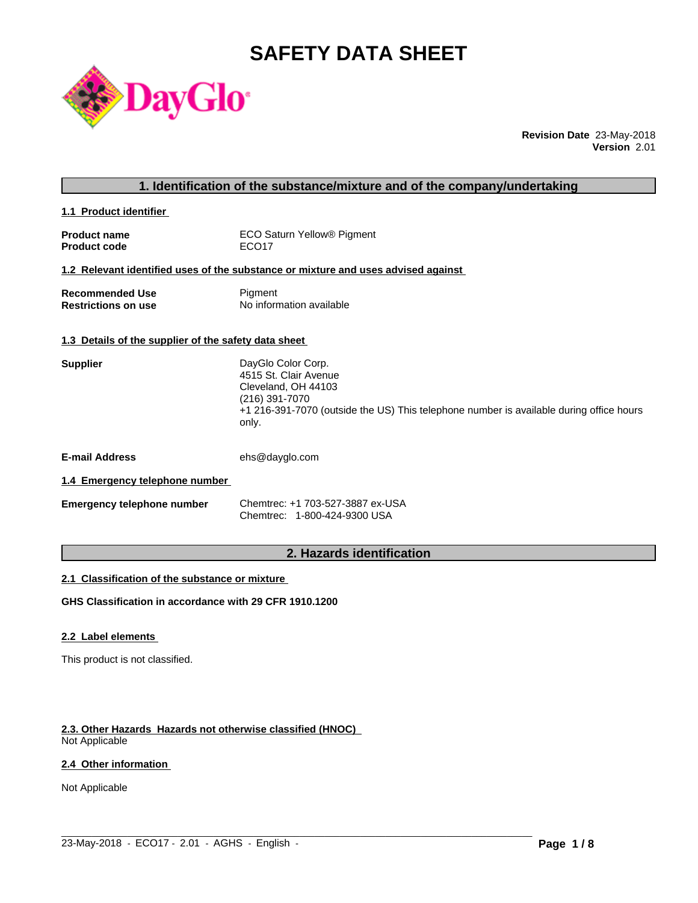# **SAFETY DATA SHEET**



**Revision Date** 23-May-2018 **Version** 2.01

|                                                      | 1. Identification of the substance/mixture and of the company/undertaking                                                                                                                |
|------------------------------------------------------|------------------------------------------------------------------------------------------------------------------------------------------------------------------------------------------|
| 1.1 Product identifier                               |                                                                                                                                                                                          |
| <b>Product name</b><br><b>Product code</b>           | ECO Saturn Yellow® Pigment<br>ECO <sub>17</sub>                                                                                                                                          |
|                                                      | 1.2 Relevant identified uses of the substance or mixture and uses advised against                                                                                                        |
| <b>Recommended Use</b><br><b>Restrictions on use</b> | Pigment<br>No information available                                                                                                                                                      |
| 1.3 Details of the supplier of the safety data sheet |                                                                                                                                                                                          |
| <b>Supplier</b>                                      | DayGlo Color Corp.<br>4515 St. Clair Avenue<br>Cleveland, OH 44103<br>(216) 391-7070<br>+1 216-391-7070 (outside the US) This telephone number is available during office hours<br>only. |
| <b>E-mail Address</b>                                | ehs@dayglo.com                                                                                                                                                                           |
| 1.4 Emergency telephone number                       |                                                                                                                                                                                          |
| <b>Emergency telephone number</b>                    | Chemtrec: +1 703-527-3887 ex-USA<br>Chemtrec: 1-800-424-9300 USA                                                                                                                         |
|                                                      | 2. Hazards identification                                                                                                                                                                |

# **2. Hazards identification**

 $\_$  ,  $\_$  ,  $\_$  ,  $\_$  ,  $\_$  ,  $\_$  ,  $\_$  ,  $\_$  ,  $\_$  ,  $\_$  ,  $\_$  ,  $\_$  ,  $\_$  ,  $\_$  ,  $\_$  ,  $\_$  ,  $\_$  ,  $\_$  ,  $\_$  ,  $\_$  ,  $\_$  ,  $\_$  ,  $\_$  ,  $\_$  ,  $\_$  ,  $\_$  ,  $\_$  ,  $\_$  ,  $\_$  ,  $\_$  ,  $\_$  ,  $\_$  ,  $\_$  ,  $\_$  ,  $\_$  ,  $\_$  ,  $\_$  ,

# **2.1 Classification of the substance or mixture**

**GHS Classification in accordance with 29 CFR 1910.1200**

# **2.2 Label elements**

This product is not classified.

# **2.3. Other Hazards Hazards not otherwise classified (HNOC)**

Not Applicable

# **2.4 Other information**

Not Applicable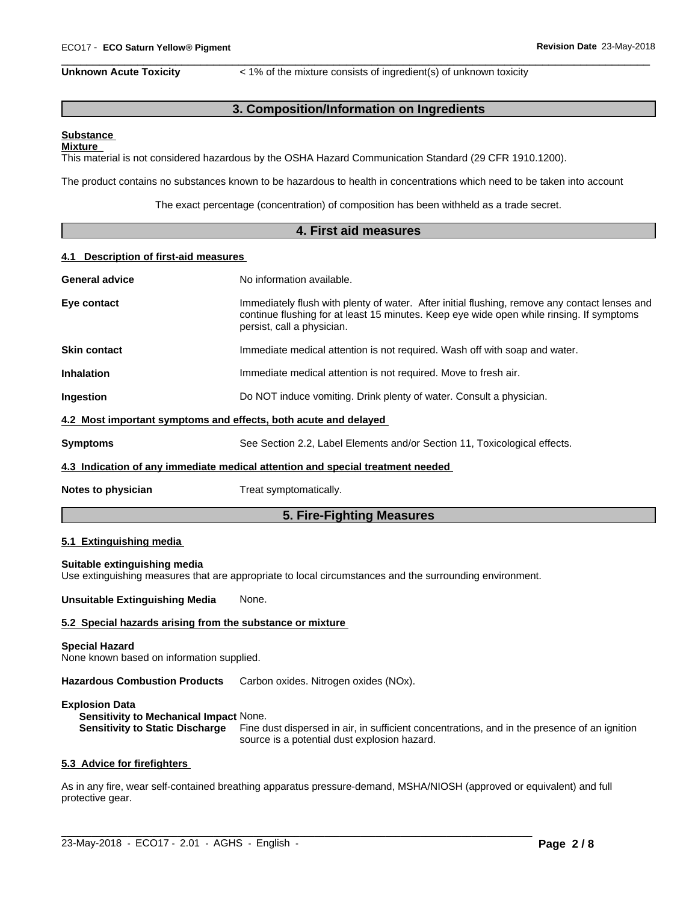**Unknown Acute Toxicity**  $\lt$  1% of the mixture consists of ingredient(s) of unknown toxicity

 $\overline{\phantom{a}}$  ,  $\overline{\phantom{a}}$  ,  $\overline{\phantom{a}}$  ,  $\overline{\phantom{a}}$  ,  $\overline{\phantom{a}}$  ,  $\overline{\phantom{a}}$  ,  $\overline{\phantom{a}}$  ,  $\overline{\phantom{a}}$  ,  $\overline{\phantom{a}}$  ,  $\overline{\phantom{a}}$  ,  $\overline{\phantom{a}}$  ,  $\overline{\phantom{a}}$  ,  $\overline{\phantom{a}}$  ,  $\overline{\phantom{a}}$  ,  $\overline{\phantom{a}}$  ,  $\overline{\phantom{a}}$ 

# **3. Composition/Information on Ingredients**

#### **Substance Mixture**

This material is not considered hazardous by the OSHA Hazard Communication Standard (29 CFR 1910.1200).

The product contains no substances known to be hazardous to health in concentrations which need to be taken into account

The exact percentage (concentration) of composition has been withheld as a trade secret.

# **4. First aid measures 4.1 Description of first-aid measures General advice** No information available. **Eye contact** Immediately flush with plenty of water. After initial flushing, remove any contact lenses and continue flushing for at least 15 minutes. Keep eye wide open while rinsing. If symptoms persist, call a physician. **Skin contact** Immediate medical attention is not required. Wash off with soap and water. **Inhalation** Immediate medical attention is not required. Move to fresh air. **Ingestion Do NOT** induce vomiting. Drink plenty of water. Consult a physician. **4.2 Most important symptoms and effects, both acute and delayed Symptoms** See Section 2.2, Label Elements and/or Section 11, Toxicological effects. **4.3 Indication of any immediate medical attention and special treatment needed Notes to physician** Treat symptomatically.

# **5. Fire-Fighting Measures**

# **5.1 Extinguishing media**

#### **Suitable extinguishing media**

Use extinguishing measures that are appropriate to local circumstances and the surrounding environment.

**Unsuitable Extinguishing Media** None.

#### **5.2 Special hazards arising from the substance or mixture**

#### **Special Hazard**

None known based on information supplied.

**Hazardous Combustion Products** Carbon oxides. Nitrogen oxides (NOx).

#### **Explosion Data**

**Sensitivity to Mechanical Impact** None.

**Sensitivity to Static Discharge** Fine dust dispersed in air, in sufficient concentrations, and in the presence of an ignition source is a potential dust explosion hazard.

#### **5.3 Advice for firefighters**

As in any fire, wear self-contained breathing apparatus pressure-demand, MSHA/NIOSH (approved or equivalent) and full protective gear.

 $\_$  ,  $\_$  ,  $\_$  ,  $\_$  ,  $\_$  ,  $\_$  ,  $\_$  ,  $\_$  ,  $\_$  ,  $\_$  ,  $\_$  ,  $\_$  ,  $\_$  ,  $\_$  ,  $\_$  ,  $\_$  ,  $\_$  ,  $\_$  ,  $\_$  ,  $\_$  ,  $\_$  ,  $\_$  ,  $\_$  ,  $\_$  ,  $\_$  ,  $\_$  ,  $\_$  ,  $\_$  ,  $\_$  ,  $\_$  ,  $\_$  ,  $\_$  ,  $\_$  ,  $\_$  ,  $\_$  ,  $\_$  ,  $\_$  ,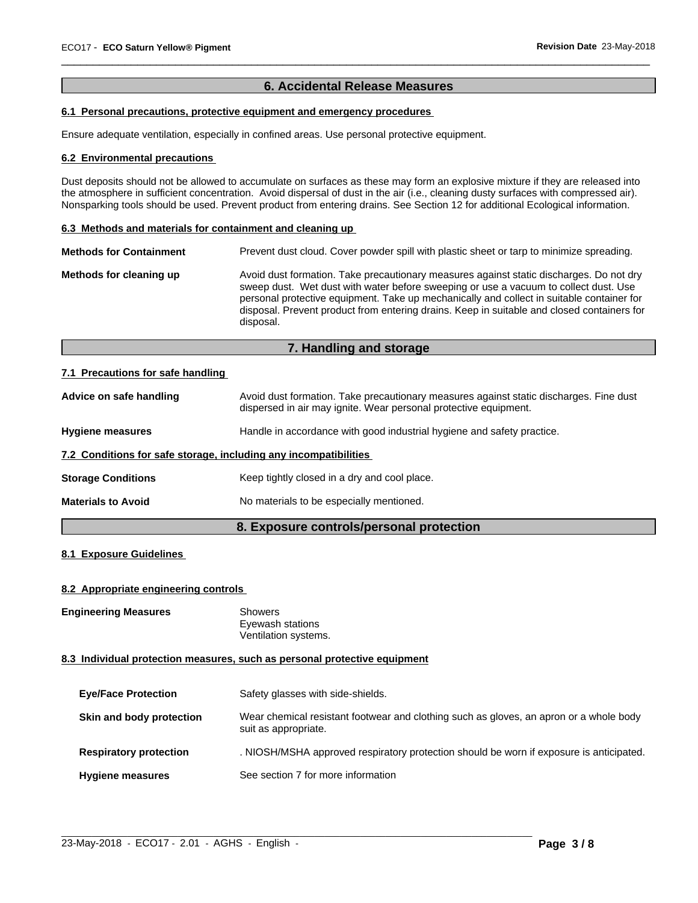# **6. Accidental Release Measures**

 $\overline{\phantom{a}}$  ,  $\overline{\phantom{a}}$  ,  $\overline{\phantom{a}}$  ,  $\overline{\phantom{a}}$  ,  $\overline{\phantom{a}}$  ,  $\overline{\phantom{a}}$  ,  $\overline{\phantom{a}}$  ,  $\overline{\phantom{a}}$  ,  $\overline{\phantom{a}}$  ,  $\overline{\phantom{a}}$  ,  $\overline{\phantom{a}}$  ,  $\overline{\phantom{a}}$  ,  $\overline{\phantom{a}}$  ,  $\overline{\phantom{a}}$  ,  $\overline{\phantom{a}}$  ,  $\overline{\phantom{a}}$ 

# **6.1 Personal precautions, protective equipment and emergency procedures**

Ensure adequate ventilation, especially in confined areas. Use personal protective equipment.

#### **6.2 Environmental precautions**

Dust deposits should not be allowed to accumulate on surfaces as these may form an explosive mixture if they are released into the atmosphere in sufficient concentration. Avoid dispersal of dust in the air (i.e., cleaning dusty surfaces with compressed air). Nonsparking tools should be used. Prevent product from entering drains. See Section 12 for additional Ecological information.

#### **6.3 Methods and materials for containment and cleaning up**

| <b>Methods for Containment</b> |                                                                                                                                                                                                                                                                                                                                                                                         |
|--------------------------------|-----------------------------------------------------------------------------------------------------------------------------------------------------------------------------------------------------------------------------------------------------------------------------------------------------------------------------------------------------------------------------------------|
| Methods for cleaning up        | Avoid dust formation. Take precautionary measures against static discharges. Do not dry<br>sweep dust. Wet dust with water before sweeping or use a vacuum to collect dust. Use<br>personal protective equipment. Take up mechanically and collect in suitable container for<br>disposal. Prevent product from entering drains. Keep in suitable and closed containers for<br>disposal. |

# **7. Handling and storage**

#### **7.1 Precautions for safe handling**

| Advice on safe handling                                          | Avoid dust formation. Take precautionary measures against static discharges. Fine dust<br>dispersed in air may ignite. Wear personal protective equipment. |
|------------------------------------------------------------------|------------------------------------------------------------------------------------------------------------------------------------------------------------|
| <b>Hygiene measures</b>                                          | Handle in accordance with good industrial hygiene and safety practice.                                                                                     |
| 7.2 Conditions for safe storage, including any incompatibilities |                                                                                                                                                            |
| <b>Storage Conditions</b>                                        | Keep tightly closed in a dry and cool place.                                                                                                               |
| <b>Materials to Avoid</b>                                        | No materials to be especially mentioned.                                                                                                                   |
|                                                                  |                                                                                                                                                            |

# **8. Exposure controls/personal protection**

# **8.1 Exposure Guidelines**

# **8.2 Appropriate engineering controls**

**Engineering Measures** Showers

Eyewash stations Ventilation systems.

# **8.3 Individual protection measures, such as personal protective equipment**

| <b>Eye/Face Protection</b>    | Safety glasses with side-shields.                                                                              |
|-------------------------------|----------------------------------------------------------------------------------------------------------------|
| Skin and body protection      | Wear chemical resistant footwear and clothing such as gloves, an apron or a whole body<br>suit as appropriate. |
| <b>Respiratory protection</b> | . NIOSH/MSHA approved respiratory protection should be worn if exposure is anticipated.                        |
| <b>Hygiene measures</b>       | See section 7 for more information                                                                             |

 $\_$  ,  $\_$  ,  $\_$  ,  $\_$  ,  $\_$  ,  $\_$  ,  $\_$  ,  $\_$  ,  $\_$  ,  $\_$  ,  $\_$  ,  $\_$  ,  $\_$  ,  $\_$  ,  $\_$  ,  $\_$  ,  $\_$  ,  $\_$  ,  $\_$  ,  $\_$  ,  $\_$  ,  $\_$  ,  $\_$  ,  $\_$  ,  $\_$  ,  $\_$  ,  $\_$  ,  $\_$  ,  $\_$  ,  $\_$  ,  $\_$  ,  $\_$  ,  $\_$  ,  $\_$  ,  $\_$  ,  $\_$  ,  $\_$  ,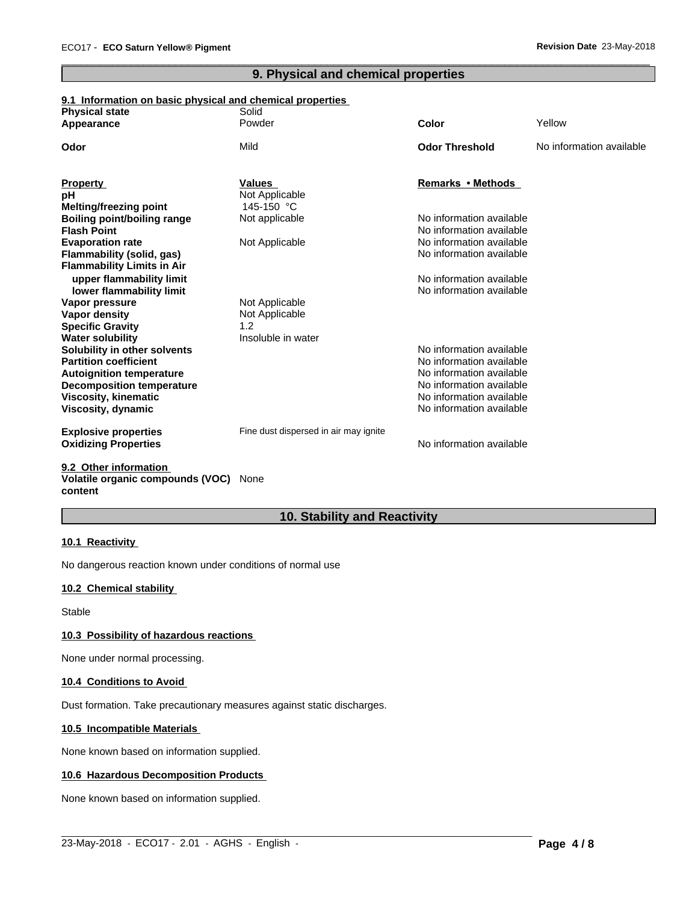# **9. Physical and chemical properties**

 $\overline{\phantom{a}}$  ,  $\overline{\phantom{a}}$  ,  $\overline{\phantom{a}}$  ,  $\overline{\phantom{a}}$  ,  $\overline{\phantom{a}}$  ,  $\overline{\phantom{a}}$  ,  $\overline{\phantom{a}}$  ,  $\overline{\phantom{a}}$  ,  $\overline{\phantom{a}}$  ,  $\overline{\phantom{a}}$  ,  $\overline{\phantom{a}}$  ,  $\overline{\phantom{a}}$  ,  $\overline{\phantom{a}}$  ,  $\overline{\phantom{a}}$  ,  $\overline{\phantom{a}}$  ,  $\overline{\phantom{a}}$ 

# **9.1 Information on basic physical and chemical properties**

| <b>Physical state</b>              | Solid                                 |                          |                          |
|------------------------------------|---------------------------------------|--------------------------|--------------------------|
| Appearance                         | Powder                                | Color                    | Yellow                   |
| Odor                               | Mild                                  | <b>Odor Threshold</b>    | No information available |
| <b>Property</b>                    | <b>Values</b>                         | Remarks • Methods        |                          |
| рH                                 | Not Applicable                        |                          |                          |
| <b>Melting/freezing point</b>      | 145-150 °C                            |                          |                          |
| <b>Boiling point/boiling range</b> | Not applicable                        | No information available |                          |
| <b>Flash Point</b>                 |                                       | No information available |                          |
| <b>Evaporation rate</b>            | Not Applicable                        | No information available |                          |
| <b>Flammability (solid, gas)</b>   |                                       | No information available |                          |
| <b>Flammability Limits in Air</b>  |                                       |                          |                          |
| upper flammability limit           |                                       | No information available |                          |
| lower flammability limit           |                                       | No information available |                          |
| Vapor pressure                     | Not Applicable                        |                          |                          |
| Vapor density                      | Not Applicable                        |                          |                          |
| <b>Specific Gravity</b>            | 1.2                                   |                          |                          |
| <b>Water solubility</b>            | Insoluble in water                    |                          |                          |
| Solubility in other solvents       |                                       | No information available |                          |
| <b>Partition coefficient</b>       |                                       | No information available |                          |
| <b>Autoignition temperature</b>    |                                       | No information available |                          |
| <b>Decomposition temperature</b>   |                                       | No information available |                          |
| <b>Viscosity, kinematic</b>        |                                       | No information available |                          |
| Viscosity, dynamic                 |                                       | No information available |                          |
| <b>Explosive properties</b>        | Fine dust dispersed in air may ignite |                          |                          |
| <b>Oxidizing Properties</b>        |                                       | No information available |                          |
|                                    |                                       |                          |                          |

#### **9.2 Other information Volatile organic compounds (VOC)** None **content**

# **10. Stability and Reactivity**

# **10.1 Reactivity**

No dangerous reaction known under conditions of normal use

# **10.2 Chemical stability**

Stable

# **10.3 Possibility of hazardous reactions**

None under normal processing.

# **10.4 Conditions to Avoid**

Dust formation. Take precautionary measures against static discharges.

# **10.5 Incompatible Materials**

None known based on information supplied.

# **10.6 Hazardous Decomposition Products**

None known based on information supplied.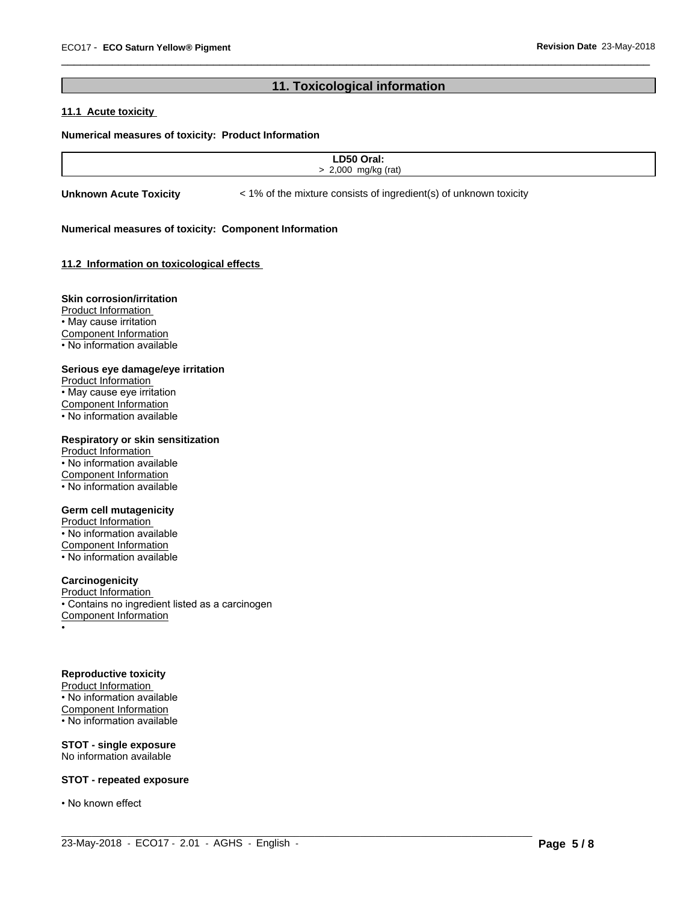# **11. Toxicological information**

 $\overline{\phantom{a}}$  ,  $\overline{\phantom{a}}$  ,  $\overline{\phantom{a}}$  ,  $\overline{\phantom{a}}$  ,  $\overline{\phantom{a}}$  ,  $\overline{\phantom{a}}$  ,  $\overline{\phantom{a}}$  ,  $\overline{\phantom{a}}$  ,  $\overline{\phantom{a}}$  ,  $\overline{\phantom{a}}$  ,  $\overline{\phantom{a}}$  ,  $\overline{\phantom{a}}$  ,  $\overline{\phantom{a}}$  ,  $\overline{\phantom{a}}$  ,  $\overline{\phantom{a}}$  ,  $\overline{\phantom{a}}$ 

# **11.1 Acute toxicity**

#### **Numerical measures of toxicity: Product Information**

| $C^{\bullet}$<br>-- |  |
|---------------------|--|
| 2.000<br>mnl        |  |
|                     |  |

 $\_$  ,  $\_$  ,  $\_$  ,  $\_$  ,  $\_$  ,  $\_$  ,  $\_$  ,  $\_$  ,  $\_$  ,  $\_$  ,  $\_$  ,  $\_$  ,  $\_$  ,  $\_$  ,  $\_$  ,  $\_$  ,  $\_$  ,  $\_$  ,  $\_$  ,  $\_$  ,  $\_$  ,  $\_$  ,  $\_$  ,  $\_$  ,  $\_$  ,  $\_$  ,  $\_$  ,  $\_$  ,  $\_$  ,  $\_$  ,  $\_$  ,  $\_$  ,  $\_$  ,  $\_$  ,  $\_$  ,  $\_$  ,  $\_$  ,

**Unknown Acute Toxicity**  $\lt$  1% of the mixture consists of ingredient(s) of unknown toxicity

#### **Numerical measures of toxicity: Component Information**

# **11.2 Information on toxicologicaleffects**

#### **Skin corrosion/irritation**

Product Information • May cause irritation Component Information • No information available

#### **Serious eye damage/eye irritation**

Product Information • May cause eye irritation Component Information • No information available

# **Respiratory or skin sensitization**

Product Information • No information available Component Information • No information available

# **Germ cell mutagenicity**

Product Information • No information available Component Information • No information available

# **Carcinogenicity**

Product Information • Contains no ingredient listed as a carcinogen Component Information •

#### **Reproductive toxicity**

Product Information • No information available Component Information • No information available

**STOT - single exposure** No information available

#### **STOT - repeated exposure**

• No known effect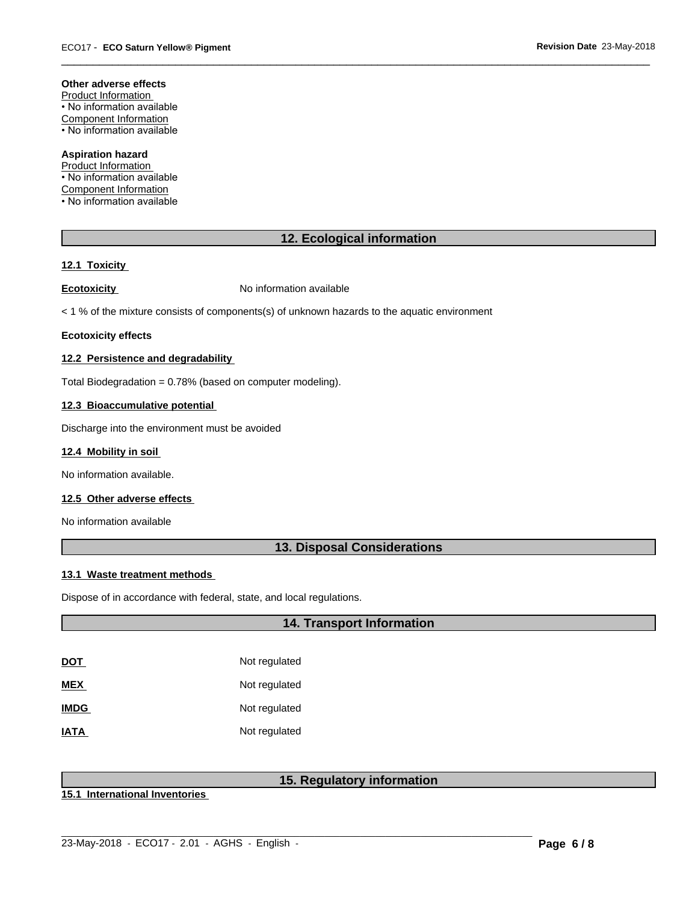#### **Other adverse effects**

Product Information • No information available Component Information • No information available

**Aspiration hazard** Product Information

• No information available Component Information • No information available

# **12. Ecological information**

 $\overline{\phantom{a}}$  ,  $\overline{\phantom{a}}$  ,  $\overline{\phantom{a}}$  ,  $\overline{\phantom{a}}$  ,  $\overline{\phantom{a}}$  ,  $\overline{\phantom{a}}$  ,  $\overline{\phantom{a}}$  ,  $\overline{\phantom{a}}$  ,  $\overline{\phantom{a}}$  ,  $\overline{\phantom{a}}$  ,  $\overline{\phantom{a}}$  ,  $\overline{\phantom{a}}$  ,  $\overline{\phantom{a}}$  ,  $\overline{\phantom{a}}$  ,  $\overline{\phantom{a}}$  ,  $\overline{\phantom{a}}$ 

# **12.1 Toxicity**

**Ecotoxicity No information available** 

 $<$  1 % of the mixture consists of components(s) of unknown hazards to the aquatic environment

#### **Ecotoxicity effects**

# **12.2 Persistence and degradability**

Total Biodegradation = 0.78% (based on computer modeling).

#### **12.3 Bioaccumulative potential**

Discharge into the environment must be avoided

# **12.4 Mobility in soil**

No information available.

# **12.5 Other adverse effects**

No information available

# **13. Disposal Considerations**

# **13.1 Waste treatment methods**

Dispose of in accordance with federal, state, and local regulations.

# **14. Transport Information**

| DOT         | Not regulated |
|-------------|---------------|
| MEX         | Not regulated |
| <b>IMDG</b> | Not regulated |
| IATA        | Not regulated |

# **15. Regulatory information**

**15.1 International Inventories**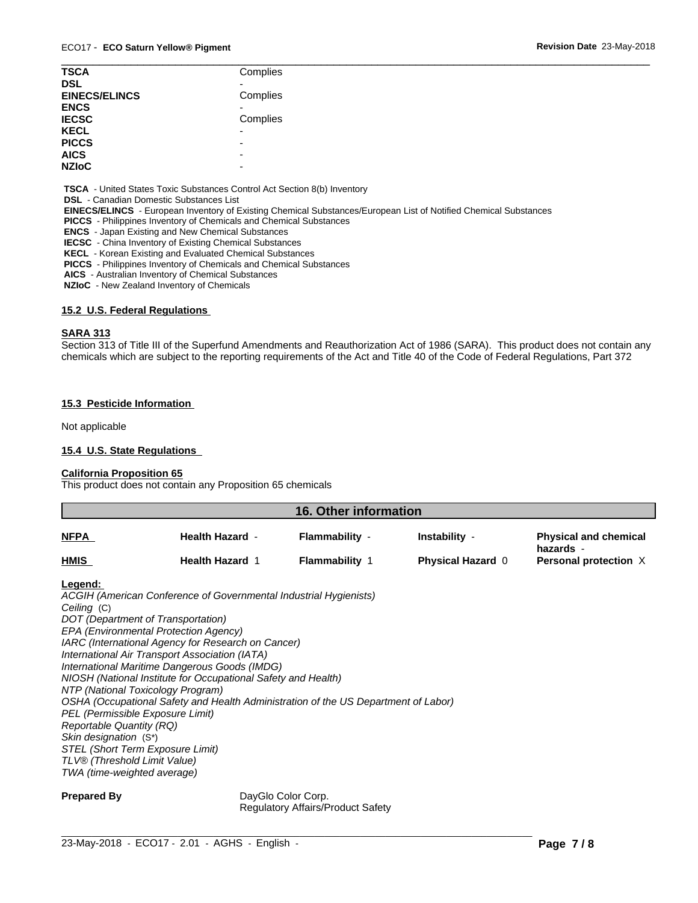| <b>TSCA</b>          | Complies                 |  |
|----------------------|--------------------------|--|
|                      |                          |  |
| <b>DSL</b>           |                          |  |
| <b>EINECS/ELINCS</b> | Complies                 |  |
| <b>ENCS</b>          |                          |  |
| <b>IECSC</b>         | Complies                 |  |
| <b>KECL</b>          | -                        |  |
| <b>PICCS</b>         | -                        |  |
| <b>AICS</b>          | -                        |  |
| <b>NZIoC</b>         | $\overline{\phantom{0}}$ |  |

 **TSCA** - United States Toxic Substances Control Act Section 8(b) Inventory

 **DSL** - Canadian Domestic Substances List

 **EINECS/ELINCS** - European Inventory of Existing Chemical Substances/European List of Notified Chemical Substances

 **PICCS** - Philippines Inventory of Chemicals and Chemical Substances

 **ENCS** - Japan Existing and New Chemical Substances

 **IECSC** - China Inventory of Existing Chemical Substances

 **KECL** - Korean Existing and Evaluated Chemical Substances

 **PICCS** - Philippines Inventory of Chemicals and Chemical Substances

 **AICS** - Australian Inventory of Chemical Substances

 **NZIoC** - New Zealand Inventory of Chemicals

# **15.2 U.S. Federal Regulations**

#### **SARA 313**

Section 313 of Title III of the Superfund Amendments and Reauthorization Act of 1986 (SARA). This product does not contain any chemicals which are subject to the reporting requirements of the Act and Title 40 of the Code of Federal Regulations, Part 372

# **15.3 Pesticide Information**

Not applicable

# **15.4 U.S. State Regulations**

# **California Proposition 65**

This product does not contain any Proposition 65 chemicals

| 16. Other information |                        |                     |                          |                                           |
|-----------------------|------------------------|---------------------|--------------------------|-------------------------------------------|
| <b>NFPA</b>           | <b>Health Hazard -</b> | Flammability -      | Instability -            | <b>Physical and chemical</b><br>hazards - |
| <b>HMIS</b>           | <b>Health Hazard 1</b> | <b>Flammability</b> | <b>Physical Hazard 0</b> | Personal protection X                     |
|                       |                        |                     |                          |                                           |

#### **Legend:**

*ACGIH (American Conference of Governmental Industrial Hygienists) Ceiling* (C) *DOT (Department of Transportation) EPA (Environmental Protection Agency) IARC (International Agency for Research on Cancer) International Air Transport Association (IATA) International Maritime Dangerous Goods (IMDG) NIOSH (National Institute for Occupational Safety and Health) NTP (National Toxicology Program) OSHA (Occupational Safety and Health Administration of the US Department of Labor) PEL (Permissible Exposure Limit) Reportable Quantity (RQ) Skin designation* (S\*) *STEL (Short Term Exposure Limit) TLV® (Threshold Limit Value) TWA (time-weighted average)*

**Prepared By** DayGlo Color Corp. Regulatory Affairs/Product Safety